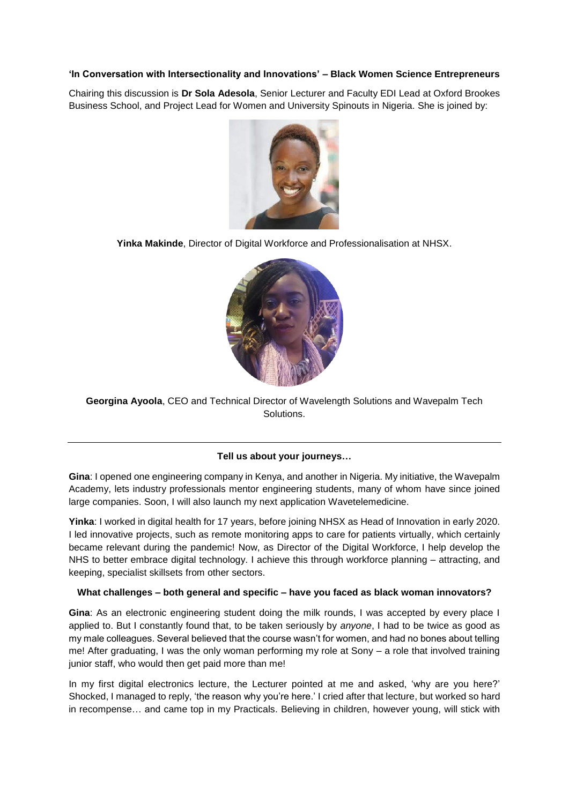### **'In Conversation with Intersectionality and Innovations' – Black Women Science Entrepreneurs**

Chairing this discussion is **Dr Sola Adesola**, Senior Lecturer and Faculty EDI Lead at Oxford Brookes Business School, and Project Lead for Women and University Spinouts in Nigeria. She is joined by:



**Yinka Makinde**, Director of Digital Workforce and Professionalisation at NHSX.



**Georgina Ayoola**, CEO and Technical Director of Wavelength Solutions and Wavepalm Tech Solutions.

# **Tell us about your journeys…**

**Gina**: I opened one engineering company in Kenya, and another in Nigeria. My initiative, the Wavepalm Academy, lets industry professionals mentor engineering students, many of whom have since joined large companies. Soon, I will also launch my next application Wavetelemedicine.

**Yinka**: I worked in digital health for 17 years, before joining NHSX as Head of Innovation in early 2020. I led innovative projects, such as remote monitoring apps to care for patients virtually, which certainly became relevant during the pandemic! Now, as Director of the Digital Workforce, I help develop the NHS to better embrace digital technology. I achieve this through workforce planning – attracting, and keeping, specialist skillsets from other sectors.

### **What challenges – both general and specific – have you faced as black woman innovators?**

**Gina**: As an electronic engineering student doing the milk rounds, I was accepted by every place I applied to. But I constantly found that, to be taken seriously by *anyone*, I had to be twice as good as my male colleagues. Several believed that the course wasn't for women, and had no bones about telling me! After graduating, I was the only woman performing my role at Sony – a role that involved training junior staff, who would then get paid more than me!

In my first digital electronics lecture, the Lecturer pointed at me and asked, 'why are you here?' Shocked, I managed to reply, 'the reason why you're here.' I cried after that lecture, but worked so hard in recompense… and came top in my Practicals. Believing in children, however young, will stick with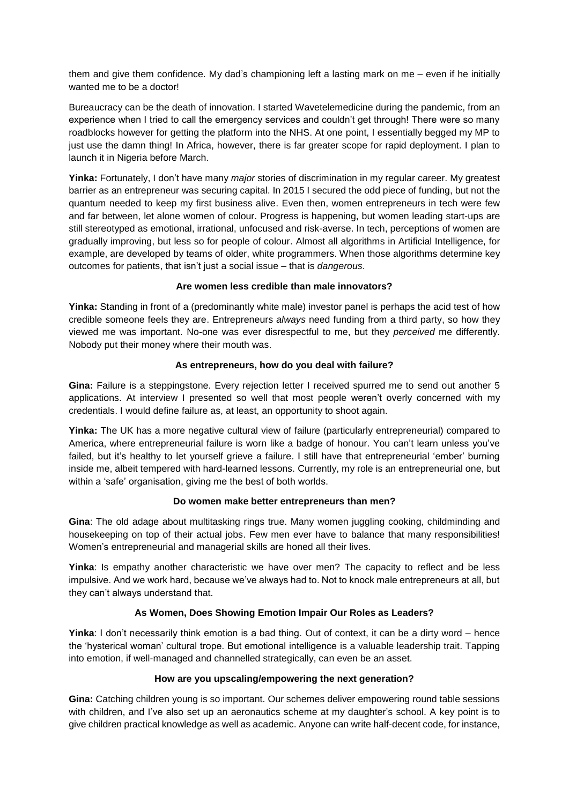them and give them confidence. My dad's championing left a lasting mark on me – even if he initially wanted me to be a doctor!

Bureaucracy can be the death of innovation. I started Wavetelemedicine during the pandemic, from an experience when I tried to call the emergency services and couldn't get through! There were so many roadblocks however for getting the platform into the NHS. At one point, I essentially begged my MP to just use the damn thing! In Africa, however, there is far greater scope for rapid deployment. I plan to launch it in Nigeria before March.

**Yinka:** Fortunately, I don't have many *major* stories of discrimination in my regular career. My greatest barrier as an entrepreneur was securing capital. In 2015 I secured the odd piece of funding, but not the quantum needed to keep my first business alive. Even then, women entrepreneurs in tech were few and far between, let alone women of colour. Progress is happening, but women leading start-ups are still stereotyped as emotional, irrational, unfocused and risk-averse. In tech, perceptions of women are gradually improving, but less so for people of colour. Almost all algorithms in Artificial Intelligence, for example, are developed by teams of older, white programmers. When those algorithms determine key outcomes for patients, that isn't just a social issue – that is *dangerous*.

### **Are women less credible than male innovators?**

**Yinka:** Standing in front of a (predominantly white male) investor panel is perhaps the acid test of how credible someone feels they are. Entrepreneurs *always* need funding from a third party, so how they viewed me was important. No-one was ever disrespectful to me, but they *perceived* me differently. Nobody put their money where their mouth was.

### **As entrepreneurs, how do you deal with failure?**

**Gina:** Failure is a steppingstone. Every rejection letter I received spurred me to send out another 5 applications. At interview I presented so well that most people weren't overly concerned with my credentials. I would define failure as, at least, an opportunity to shoot again.

**Yinka:** The UK has a more negative cultural view of failure (particularly entrepreneurial) compared to America, where entrepreneurial failure is worn like a badge of honour. You can't learn unless you've failed, but it's healthy to let yourself grieve a failure. I still have that entrepreneurial 'ember' burning inside me, albeit tempered with hard-learned lessons. Currently, my role is an entrepreneurial one, but within a 'safe' organisation, giving me the best of both worlds.

### **Do women make better entrepreneurs than men?**

**Gina**: The old adage about multitasking rings true. Many women juggling cooking, childminding and housekeeping on top of their actual jobs. Few men ever have to balance that many responsibilities! Women's entrepreneurial and managerial skills are honed all their lives.

**Yinka**: Is empathy another characteristic we have over men? The capacity to reflect and be less impulsive. And we work hard, because we've always had to. Not to knock male entrepreneurs at all, but they can't always understand that.

# **As Women, Does Showing Emotion Impair Our Roles as Leaders?**

**Yinka**: I don't necessarily think emotion is a bad thing. Out of context, it can be a dirty word – hence the 'hysterical woman' cultural trope. But emotional intelligence is a valuable leadership trait. Tapping into emotion, if well-managed and channelled strategically, can even be an asset.

### **How are you upscaling/empowering the next generation?**

**Gina:** Catching children young is so important. Our schemes deliver empowering round table sessions with children, and I've also set up an aeronautics scheme at my daughter's school. A key point is to give children practical knowledge as well as academic. Anyone can write half-decent code, for instance,